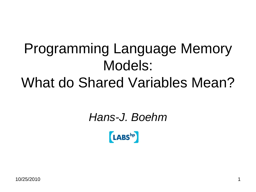#### Programming Language Memory Models: What do Shared Variables Mean?

#### *Hans-J. Boehm*

**LABS**hp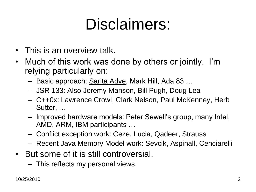## Disclaimers:

- This is an overview talk.
- Much of this work was done by others or jointly. I'm relying particularly on:
	- Basic approach: Sarita Adve, Mark Hill, Ada 83 …
	- JSR 133: Also Jeremy Manson, Bill Pugh, Doug Lea
	- C++0x: Lawrence Crowl, Clark Nelson, Paul McKenney, Herb Sutter, …
	- Improved hardware models: Peter Sewell's group, many Intel, AMD, ARM, IBM participants …
	- Conflict exception work: Ceze, Lucia, Qadeer, Strauss
	- Recent Java Memory Model work: Sevcik, Aspinall, Cenciarelli
- But some of it is still controversial.
	- This reflects my personal views.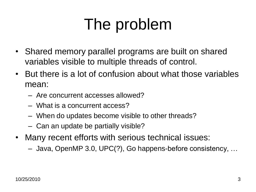### The problem

- Shared memory parallel programs are built on shared variables visible to multiple threads of control.
- But there is a lot of confusion about what those variables mean:
	- Are concurrent accesses allowed?
	- What is a concurrent access?
	- When do updates become visible to other threads?
	- Can an update be partially visible?
- Many recent efforts with serious technical issues:
	- Java, OpenMP 3.0, UPC(?), Go happens-before consistency, …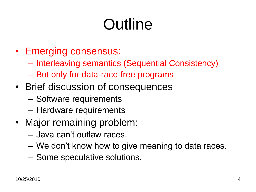## **Outline**

- Emerging consensus:
	- Interleaving semantics (Sequential Consistency)
	- But only for data-race-free programs
- Brief discussion of consequences
	- Software requirements
	- Hardware requirements
- Major remaining problem:
	- Java can't outlaw races.
	- We don't know how to give meaning to data races.
	- Some speculative solutions.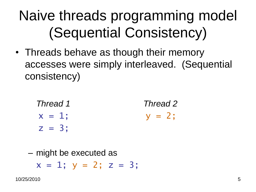#### Naive threads programming model (Sequential Consistency)

• Threads behave as though their memory accesses were simply interleaved. (Sequential consistency)

| Thread 1  | Thread 2  |
|-----------|-----------|
| $x = 1$ ; | $y = 2$ ; |
| $z = 3$ ; |           |

– might be executed as

 $x = 1$ ;  $y = 2$ ;  $z = 3$ ;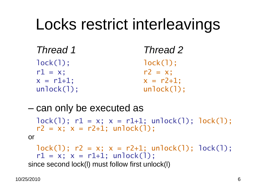#### Locks restrict interleavings

| Thread 1     | Thread 2       |  |
|--------------|----------------|--|
| $lock(1)$ :  | $lock(1)$ :    |  |
| $r1 = x$ ;   | $r2 = x$ ;     |  |
| $x = r1+1$ ; | $x = r2 + 1$ ; |  |
| unlock(1);   | unlock(1);     |  |

– can only be executed as

 $lock(1); r1 = x; x = r1+1; unlock(1); lock(1);$  $r2 = x$ ;  $x = r2+1$ ; unlock(1); or

 $lock(1); r2 = x; x = r2+1; unlock(1); lock(1);$  $r1 = x$ ;  $x = r1+1$ ; unlock(1); since second lock(l) must follow first unlock(l)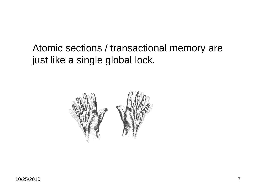Atomic sections / transactional memory are just like a single global lock.

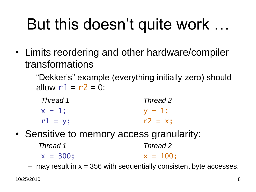## But this doesn't quite work …

- Limits reordering and other hardware/compiler transformations
	- "Dekker's" example (everything initially zero) should allow  $r1 = r2 = 0$ :

| Thread 1  | Thread 2   |
|-----------|------------|
| $x = 1$ : | $V = 1$ ;  |
| $r1 = y;$ | $r2 = x$ ; |

• Sensitive to memory access granularity:

| Thread 1    | Thread 2    |
|-------------|-------------|
| $x = 300$ ; | $x = 100$ ; |

 $-$  may result in  $x = 356$  with sequentially consistent byte accesses.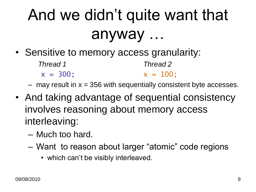## And we didn't quite want that anyway …

• Sensitive to memory access granularity:

| Thread 1    | Thread 2    |
|-------------|-------------|
| $x = 300$ ; | $x = 100$ ; |

 $-$  may result in  $x = 356$  with sequentially consistent byte accesses.

- And taking advantage of sequential consistency involves reasoning about memory access interleaving:
	- Much too hard.
	- Want to reason about larger "atomic" code regions
		- which can't be visibly interleaved.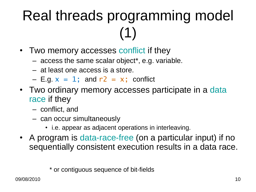### Real threads programming model (1)

- Two memory accesses conflict if they
	- access the same scalar object\*, e.g. variable.
	- at least one access is a store.
	- $-$  E.g.  $x = 1$ ; and  $r2 = x$ ; conflict
- Two ordinary memory accesses participate in a data race if they
	- conflict, and
	- can occur simultaneously
		- i.e. appear as adjacent operations in interleaving.
- A program is data-race-free (on a particular input) if no sequentially consistent execution results in a data race.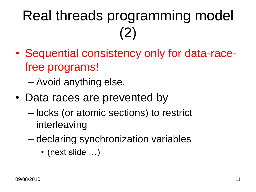### Real threads programming model (2)

- Sequential consistency only for data-racefree programs!
	- Avoid anything else.
- Data races are prevented by
	- locks (or atomic sections) to restrict interleaving
	- declaring synchronization variables
		- (next slide ...)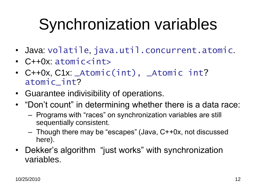## Synchronization variables

- Java: volatile, java.util.concurrent.atomic.
- C++0x: atomic<int>
- C++0x, C1x: \_Atomic(int), \_Atomic int? atomic\_int?
- Guarantee indivisibility of operations.
- "Don't count" in determining whether there is a data race:
	- Programs with "races" on synchronization variables are still sequentially consistent.
	- Though there may be "escapes" (Java, C++0x, not discussed here).
- Dekker's algorithm "just works" with synchronization variables.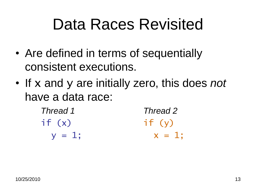#### Data Races Revisited

- Are defined in terms of sequentially consistent executions.
- If x and y are initially zero, this does *not* have a data race:

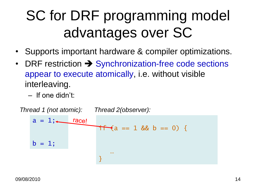#### SC for DRF programming model advantages over SC

- Supports important hardware & compiler optimizations.
- DRF restriction  $\rightarrow$  Synchronization-free code sections appear to execute atomically, i.e. without visible interleaving.
	- If one didn't:

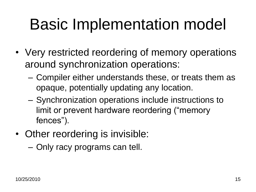## Basic Implementation model

- Very restricted reordering of memory operations around synchronization operations:
	- Compiler either understands these, or treats them as opaque, potentially updating any location.
	- Synchronization operations include instructions to limit or prevent hardware reordering ("memory fences").
- Other reordering is invisible:
	- Only racy programs can tell.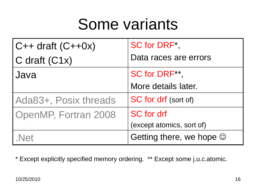#### Some variants

| $C++$ draft $(C++0x)$ | SC for DRF*,                   |  |
|-----------------------|--------------------------------|--|
| C draft $(C1x)$       | Data races are errors          |  |
| Java                  | SC for DRF**,                  |  |
|                       | More details later.            |  |
| Ada83+, Posix threads | <b>SC for drf</b> (sort of)    |  |
| OpenMP, Fortran 2008  | <b>SC</b> for drf              |  |
|                       | (except atomics, sort of)      |  |
| Net                   | Getting there, we hope $\odot$ |  |

\* Except explicitly specified memory ordering. \*\* Except some j.u.c.atomic.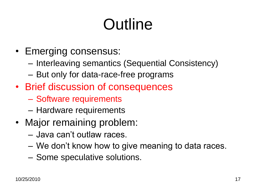## **Outline**

- Emerging consensus:
	- Interleaving semantics (Sequential Consistency)
	- But only for data-race-free programs
- Brief discussion of consequences
	- Software requirements
	- Hardware requirements
- Major remaining problem:
	- Java can't outlaw races.
	- We don't know how to give meaning to data races.
	- Some speculative solutions.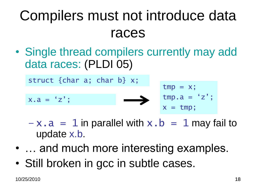#### Compilers must not introduce data races

• Single thread compilers currently may add data races: (PLDI 05)

struct {char a; char b} x;

$$
x.a = 'z';
$$

$$
tmp = x;\ntmp.a = 'z';\nx = tmp;
$$

- $-x.a = 1$  in parallel with  $x.b = 1$  may fail to update x.b.
- ... and much more interesting examples.
- Still broken in gcc in subtle cases.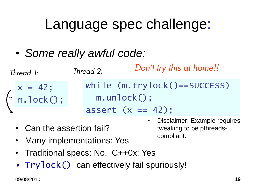#### Language spec challenge:

• *Some really awful code:*

*Thread 1: Thread 2:*

$$
\begin{cases}\nx = 42; \\
m.\operatorname{lock}();\n\end{cases}
$$

*Don't try this at home!!*

while (m.trylock()==SUCCESS) m.unlock();

compliant.

• Disclaimer: Example requires

tweaking to be pthreads-

assert  $(x == 42)$ ;

- Can the assertion fail?
- Many implementations: Yes
- Traditional specs: No. C++0x: Yes
- Trylock() can effectively fail spuriously!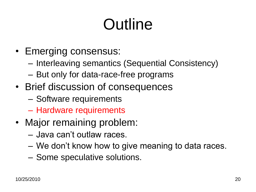## **Outline**

- Emerging consensus:
	- Interleaving semantics (Sequential Consistency)
	- But only for data-race-free programs
- Brief discussion of consequences
	- Software requirements
	- Hardware requirements
- Major remaining problem:
	- Java can't outlaw races.
	- We don't know how to give meaning to data races.
	- Some speculative solutions.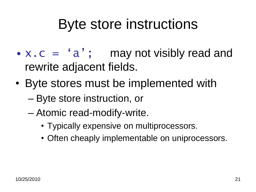#### Byte store instructions

- $x \cdot c = 'a';$  may not visibly read and rewrite adjacent fields.
- Byte stores must be implemented with
	- Byte store instruction, or
	- Atomic read-modify-write.
		- Typically expensive on multiprocessors.
		- Often cheaply implementable on uniprocessors.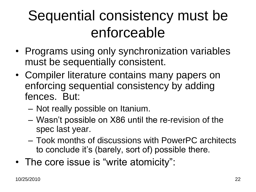#### Sequential consistency must be enforceable

- Programs using only synchronization variables must be sequentially consistent.
- Compiler literature contains many papers on enforcing sequential consistency by adding fences. But:
	- Not really possible on Itanium.
	- Wasn't possible on X86 until the re-revision of the spec last year.
	- Took months of discussions with PowerPC architects to conclude it's (barely, sort of) possible there.
- The core issue is "write atomicity":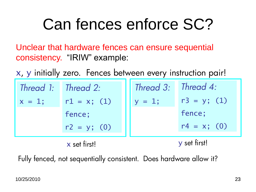## Can fences enforce SC?

Unclear that hardware fences can ensure sequential consistency. "IRIW" example:

x, y initially zero. Fences between every instruction pair!

|           | Thread 1: Thread 2: | Thread 3: Thread 4: |                |
|-----------|---------------------|---------------------|----------------|
| $x = 1$ ; | $r1 = x$ ; (1)      | $y = 1;$            | $r3 = y; (1)$  |
|           | fence;              |                     | fence;         |
|           | $r2 = y; (0)$       |                     | $r4 = x$ ; (0) |
|           | x set firstl        | y set first!        |                |

Fully fenced, not sequentially consistent. Does hardware allow it?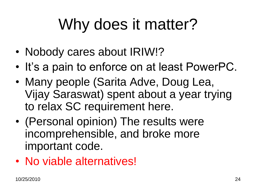## Why does it matter?

- Nobody cares about IRIW!?
- It's a pain to enforce on at least PowerPC.
- Many people (Sarita Adve, Doug Lea, Vijay Saraswat) spent about a year trying to relax SC requirement here.
- (Personal opinion) The results were incomprehensible, and broke more important code.
- No viable alternatives!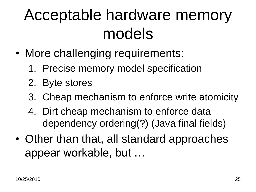## Acceptable hardware memory models

- More challenging requirements:
	- 1. Precise memory model specification
	- 2. Byte stores
	- 3. Cheap mechanism to enforce write atomicity
	- 4. Dirt cheap mechanism to enforce data dependency ordering(?) (Java final fields)
- Other than that, all standard approaches appear workable, but …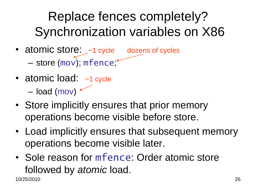#### Replace fences completely? Synchronization variables on X86

- atomic store:  $-1$  cycle dozens of cycles - store (mov); mfence \*
- atomic load: ~1 cycle – load (mov)  $\sim$
- Store implicitly ensures that prior memory operations become visible before store.
- Load implicitly ensures that subsequent memory operations become visible later.
- 10/25/2010 26 • Sole reason for mfence: Order atomic store followed by *atomic* load.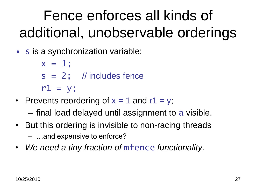#### Fence enforces all kinds of additional, unobservable orderings

• s is a synchronization variable:

 $x = 1;$  $s = 2$ ; // includes fence  $r1 = y;$ 

• Prevents reordering of  $x = 1$  and  $r1 = y$ ;

– final load delayed until assignment to a visible.

- But this ordering is invisible to non-racing threads – …and expensive to enforce?
- *We need a tiny fraction of* mfence *functionality.*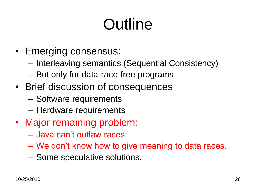## **Outline**

- Emerging consensus:
	- Interleaving semantics (Sequential Consistency)
	- But only for data-race-free programs
- Brief discussion of consequences
	- Software requirements
	- Hardware requirements
- Major remaining problem:
	- Java can't outlaw races.
	- We don't know how to give meaning to data races.
	- Some speculative solutions.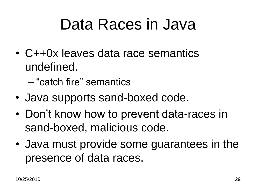#### Data Races in Java

- C++0x leaves data race semantics undefined.
	- "catch fire" semantics
- Java supports sand-boxed code.
- Don't know how to prevent data-races in sand-boxed, malicious code.
- Java must provide some guarantees in the presence of data races.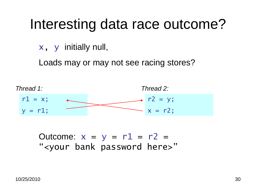#### Interesting data race outcome?

x, y initially null,

Loads may or may not see racing stores?



Outcome:  $x = y = r1 = r2 =$ "<your bank password here>"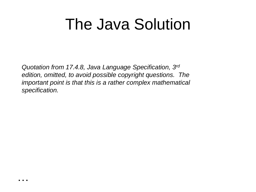#### The Java Solution

*Quotation from 17.4.8, Java Language Specification, 3rd edition, omitted, to avoid possible copyright questions. The important point is that this is a rather complex mathematical specification.*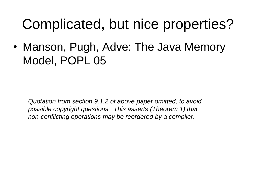#### Complicated, but nice properties?

• Manson, Pugh, Adve: The Java Memory Model, POPL 05

*Quotation from section 9.1.2 of above paper omitted, to avoid possible copyright questions. This asserts (Theorem 1) that non-conflicting operations may be reordered by a compiler.*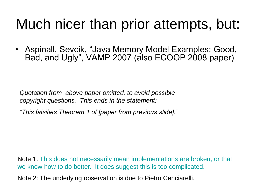#### Much nicer than prior attempts, but:

• Aspinall, Sevcik, "Java Memory Model Examples: Good, Bad, and Ugly", VAMP 2007 (also ECOOP 2008 paper)

*Quotation from above paper omitted, to avoid possible copyright questions. This ends in the statement:*

*"This falsifies Theorem 1 of [paper from previous slide]."*

Note 1: This does not necessarily mean implementations are broken, or that we know how to do better. It does suggest this is too complicated.

Note 2: The underlying observation is due to Pietro Cenciarelli.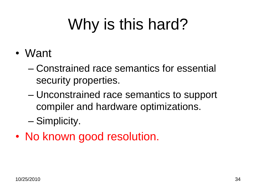# Why is this hard?

- Want
	- Constrained race semantics for essential security properties.
	- Unconstrained race semantics to support compiler and hardware optimizations.
	- Simplicity.
- No known good resolution.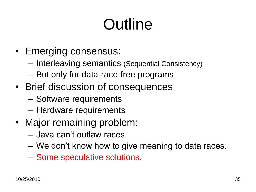## **Outline**

- Emerging consensus:
	- Interleaving semantics (Sequential Consistency)
	- But only for data-race-free programs
- Brief discussion of consequences
	- Software requirements
	- Hardware requirements
- Major remaining problem:
	- Java can't outlaw races.
	- We don't know how to give meaning to data races.
	- Some speculative solutions.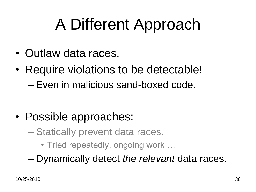## A Different Approach

- Outlaw data races.
- Require violations to be detectable! – Even in malicious sand-boxed code.

- Possible approaches:
	- Statically prevent data races.
		- Tried repeatedly, ongoing work …
	- Dynamically detect *the relevant* data races.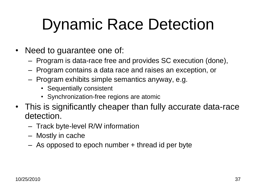## Dynamic Race Detection

- Need to guarantee one of:
	- Program is data-race free and provides SC execution (done),
	- Program contains a data race and raises an exception, or
	- Program exhibits simple semantics anyway, e.g.
		- Sequentially consistent
		- Synchronization-free regions are atomic
- This is significantly cheaper than fully accurate data-race detection.
	- Track byte-level R/W information
	- Mostly in cache
	- As opposed to epoch number + thread id per byte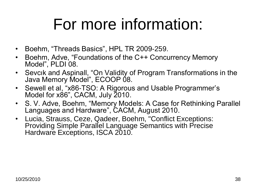### For more information:

- Boehm, "Threads Basics", HPL TR 2009-259.
- Boehm, Adve, "Foundations of the C++ Concurrency Memory Model", PLDI 08.
- Sevcık and Aspinall, "On Validity of Program Transformations in the Java Memory Model", ECOOP 08.
- Sewell et al, "x86-TSO: A Rigorous and Usable Programmer's Model for x86", CACM, July 2010.
- S. V. Adve, Boehm, "Memory Models: A Case for Rethinking Parallel Languages and Hardware", CACM, August 2010.
- Lucia, Strauss, Ceze, Qadeer, Boehm, "Conflict Exceptions: Providing Simple Parallel Language Semantics with Precise Hardware Exceptions, ISCA 2010.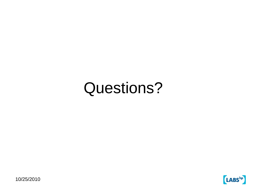#### Questions?

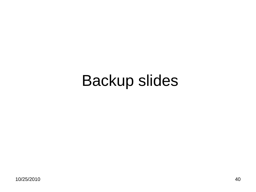#### Backup slides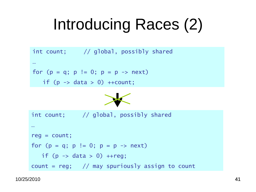## Introducing Races (2)

```
int count; // global, possibly shared
…
for (p = q; p := 0; p = p \rightarrow next)if (p \rightarrow data > 0) ++count;
```


```
int count; // global, possibly shared
…
reg = count;for (p = q; p := 0; p = p \rightarrow next)if (p \rightarrow data > 0) ++reg;
count = reg; // may spuriously assign to count
```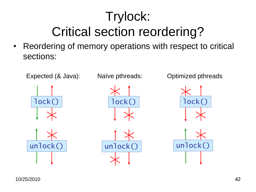#### Trylock: Critical section reordering?

• Reordering of memory operations with respect to critical sections: